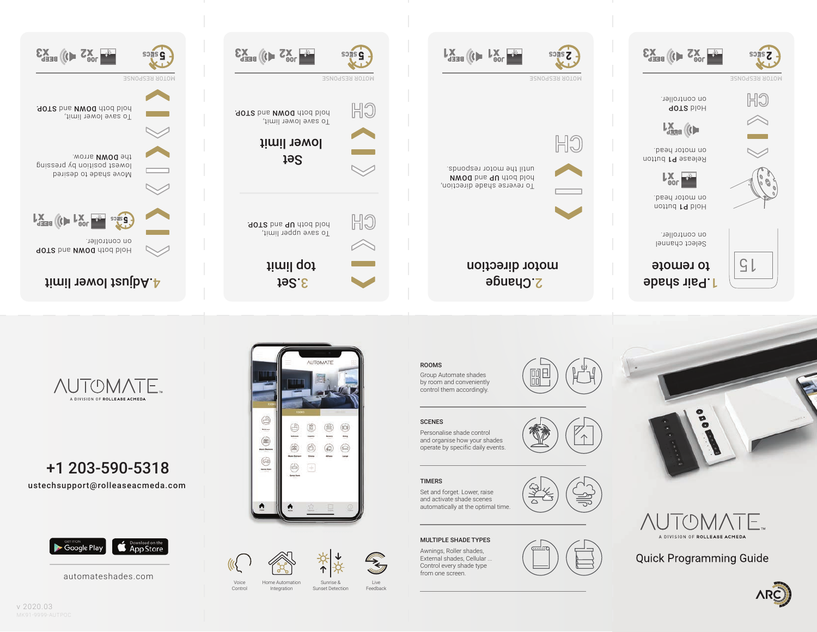automateshades.com



ustechsupport@rolleaseacmeda.com

**AUTOMATE** A DIVISION OF ROLLEASE ACMEDA



+1 203-590-5318



Home Automation Integration

Voice Control

Sunrise & Sunset Detection

Live Feedback

<del>∕</del>



## MULTIPLE SHADE TYPES

TIMERS Set and forget. Lower, raise and activate shade scenes automatically at the optimal time.

Personalise shade control and organise how your shades operate by specific daily events.

**SCENES** 

ROOMS

Group Automate shades by room and conveniently control them accordingly.





**Quick Programming Guide**